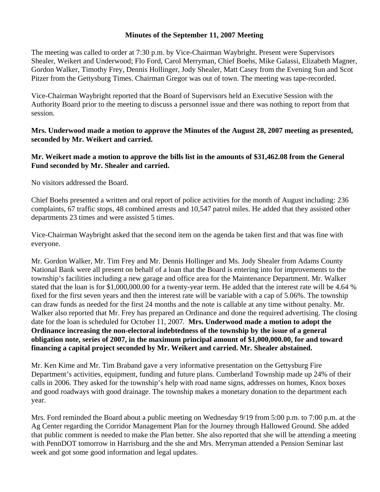## **Minutes of the September 11, 2007 Meeting**

The meeting was called to order at 7:30 p.m. by Vice-Chairman Waybright. Present were Supervisors Shealer, Weikert and Underwood; Flo Ford, Carol Merryman, Chief Boehs, Mike Galassi, Elizabeth Magner, Gordon Walker, Timothy Frey, Dennis Hollinger, Jody Shealer, Matt Casey from the Evening Sun and Scot Pitzer from the Gettysburg Times. Chairman Gregor was out of town. The meeting was tape-recorded.

Vice-Chairman Waybright reported that the Board of Supervisors held an Executive Session with the Authority Board prior to the meeting to discuss a personnel issue and there was nothing to report from that session.

## **Mrs. Underwood made a motion to approve the Minutes of the August 28, 2007 meeting as presented, seconded by Mr. Weikert and carried.**

## **Mr. Weikert made a motion to approve the bills list in the amounts of \$31,462.08 from the General Fund seconded by Mr. Shealer and carried.**

No visitors addressed the Board.

Chief Boehs presented a written and oral report of police activities for the month of August including: 236 complaints, 67 traffic stops, 48 combined arrests and 10,547 patrol miles. He added that they assisted other departments 23 times and were assisted 5 times.

Vice-Chairman Waybright asked that the second item on the agenda be taken first and that was fine with everyone.

Mr. Gordon Walker, Mr. Tim Frey and Mr. Dennis Hollinger and Ms. Jody Shealer from Adams County National Bank were all present on behalf of a loan that the Board is entering into for improvements to the township's facilities including a new garage and office area for the Maintenance Department. Mr. Walker stated that the loan is for \$1,000,000.00 for a twenty-year term. He added that the interest rate will be 4.64 % fixed for the first seven years and then the interest rate will be variable with a cap of 5.06%. The township can draw funds as needed for the first 24 months and the note is callable at any time without penalty. Mr. Walker also reported that Mr. Frey has prepared an Ordinance and done the required advertising. The closing date for the loan is scheduled for October 11, 2007. **Mrs. Underwood made a motion to adopt the Ordinance increasing the non-electoral indebtedness of the township by the issue of a general obligation note, series of 2007, in the maximum principal amount of \$1,000,000.00, for and toward financing a capital project seconded by Mr. Weikert and carried. Mr. Shealer abstained.** 

Mr. Ken Kime and Mr. Tim Braband gave a very informative presentation on the Gettysburg Fire Department's activities, equipment, funding and future plans. Cumberland Township made up 24% of their calls in 2006. They asked for the township's help with road name signs, addresses on homes, Knox boxes and good roadways with good drainage. The township makes a monetary donation to the department each year.

Mrs. Ford reminded the Board about a public meeting on Wednesday 9/19 from 5:00 p.m. to 7:00 p.m. at the Ag Center regarding the Corridor Management Plan for the Journey through Hallowed Ground. She added that public comment is needed to make the Plan better. She also reported that she will be attending a meeting with PennDOT tomorrow in Harrisburg and the she and Mrs. Merryman attended a Pension Seminar last week and got some good information and legal updates.